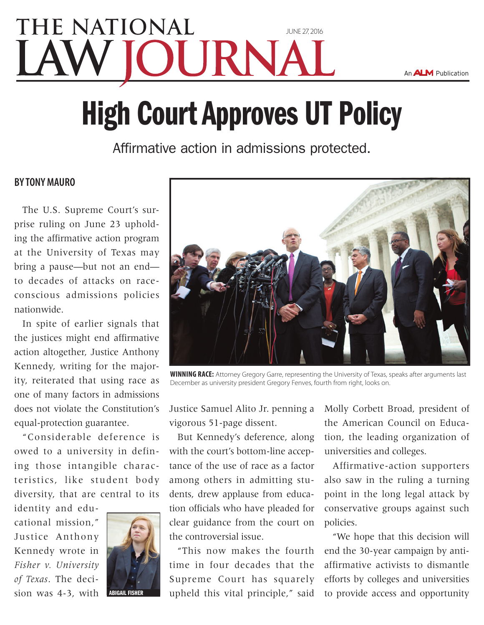## **THE NATIONAL** [june 27, 2016](www.nlj.com) JURNA

An ALM Publication

# High Court Approves UT Policy

Affirmative action in admissions protected.

#### **BY Tony Mauro**

The U.S. Supreme Court's surprise ruling on June 23 upholding the affirmative action program at the University of Texas may bring a pause—but not an end to decades of attacks on raceconscious admissions policies nationwide.

In spite of earlier signals that the justices might end affirmative action altogether, Justice Anthony Kennedy, writing for the majority, reiterated that using race as one of many factors in admissions does not violate the Constitution's equal-protection guarantee.

"Considerable deference is owed to a university in defining those intangible characteristics, like student body diversity, that are central to its

identity and educational mission," Justice Anthony Kennedy wrote in *Fisher v. University of Texas*. The decision was 4-3, with





**WINNING RACE:** Attorney Gregory Garre, representing the University of Texas, speaks after arguments last December as university president Gregory Fenves, fourth from right, looks on.

Justice Samuel Alito Jr. penning a vigorous 51-page dissent.

But Kennedy's deference, along with the court's bottom-line acceptance of the use of race as a factor among others in admitting students, drew applause from education officials who have pleaded for clear guidance from the court on the controversial issue.

"This now makes the fourth time in four decades that the Supreme Court has squarely upheld this vital principle," said

Molly Corbett Broad, president of the American Council on Education, the leading organization of universities and colleges.

Affirmative-action supporters also saw in the ruling a turning point in the long legal attack by conservative groups against such policies.

"We hope that this decision will end the 30-year campaign by antiaffirmative activists to dismantle efforts by colleges and universities to provide access and opportunity